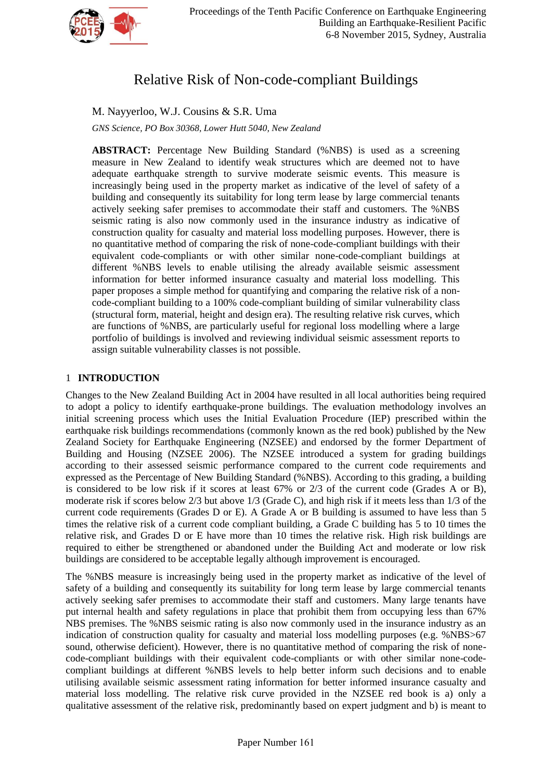

# Relative Risk of Non-code-compliant Buildings

M. Nayyerloo, W.J. Cousins & S.R. Uma

*GNS Science, PO Box 30368, Lower Hutt 5040, New Zealand*

**ABSTRACT:** Percentage New Building Standard (%NBS) is used as a screening measure in New Zealand to identify weak structures which are deemed not to have adequate earthquake strength to survive moderate seismic events. This measure is increasingly being used in the property market as indicative of the level of safety of a building and consequently its suitability for long term lease by large commercial tenants actively seeking safer premises to accommodate their staff and customers. The %NBS seismic rating is also now commonly used in the insurance industry as indicative of construction quality for casualty and material loss modelling purposes. However, there is no quantitative method of comparing the risk of none-code-compliant buildings with their equivalent code-compliants or with other similar none-code-compliant buildings at different %NBS levels to enable utilising the already available seismic assessment information for better informed insurance casualty and material loss modelling. This paper proposes a simple method for quantifying and comparing the relative risk of a noncode-compliant building to a 100% code-compliant building of similar vulnerability class (structural form, material, height and design era). The resulting relative risk curves, which are functions of %NBS, are particularly useful for regional loss modelling where a large portfolio of buildings is involved and reviewing individual seismic assessment reports to assign suitable vulnerability classes is not possible.

## 1 **INTRODUCTION**

Changes to the New Zealand Building Act in 2004 have resulted in all local authorities being required to adopt a policy to identify earthquake-prone buildings. The evaluation methodology involves an initial screening process which uses the Initial Evaluation Procedure (IEP) prescribed within the earthquake risk buildings recommendations (commonly known as the red book) published by the New Zealand Society for Earthquake Engineering (NZSEE) and endorsed by the former Department of Building and Housing [\(NZSEE 2006\)](#page-4-0). The NZSEE introduced a system for grading buildings according to their assessed seismic performance compared to the current code requirements and expressed as the Percentage of New Building Standard (%NBS). According to this grading, a building is considered to be low risk if it scores at least 67% or 2/3 of the current code (Grades A or B), moderate risk if scores below 2/3 but above 1/3 (Grade C), and high risk if it meets less than 1/3 of the current code requirements (Grades D or E). A Grade A or B building is assumed to have less than 5 times the relative risk of a current code compliant building, a Grade C building has 5 to 10 times the relative risk, and Grades D or E have more than 10 times the relative risk. High risk buildings are required to either be strengthened or abandoned under the Building Act and moderate or low risk buildings are considered to be acceptable legally although improvement is encouraged.

The %NBS measure is increasingly being used in the property market as indicative of the level of safety of a building and consequently its suitability for long term lease by large commercial tenants actively seeking safer premises to accommodate their staff and customers. Many large tenants have put internal health and safety regulations in place that prohibit them from occupying less than 67% NBS premises. The %NBS seismic rating is also now commonly used in the insurance industry as an indication of construction quality for casualty and material loss modelling purposes (e.g. %NBS>67 sound, otherwise deficient). However, there is no quantitative method of comparing the risk of nonecode-compliant buildings with their equivalent code-compliants or with other similar none-codecompliant buildings at different %NBS levels to help better inform such decisions and to enable utilising available seismic assessment rating information for better informed insurance casualty and material loss modelling. The relative risk curve provided in the NZSEE red book is a) only a qualitative assessment of the relative risk, predominantly based on expert judgment and b) is meant to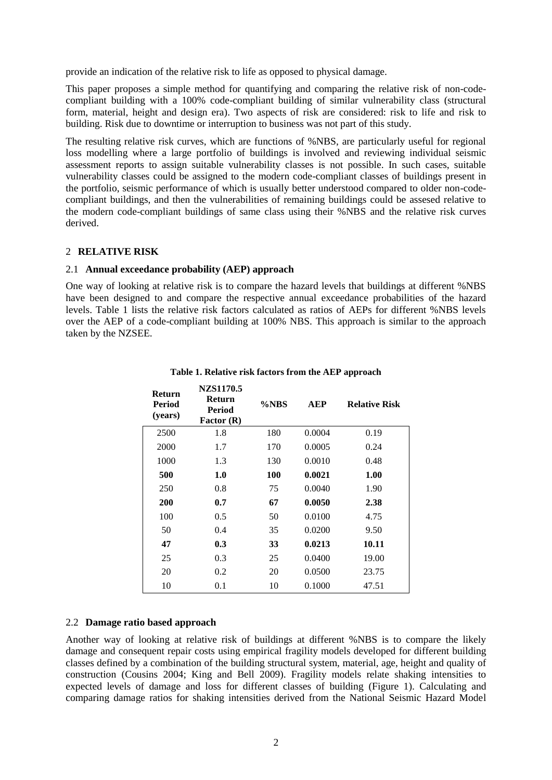provide an indication of the relative risk to life as opposed to physical damage.

This paper proposes a simple method for quantifying and comparing the relative risk of non-codecompliant building with a 100% code-compliant building of similar vulnerability class (structural form, material, height and design era). Two aspects of risk are considered: risk to life and risk to building. Risk due to downtime or interruption to business was not part of this study.

The resulting relative risk curves, which are functions of %NBS, are particularly useful for regional loss modelling where a large portfolio of buildings is involved and reviewing individual seismic assessment reports to assign suitable vulnerability classes is not possible. In such cases, suitable vulnerability classes could be assigned to the modern code-compliant classes of buildings present in the portfolio, seismic performance of which is usually better understood compared to older non-codecompliant buildings, and then the vulnerabilities of remaining buildings could be assesed relative to the modern code-compliant buildings of same class using their %NBS and the relative risk curves derived.

## 2 **RELATIVE RISK**

## 2.1 **Annual exceedance probability (AEP) approach**

One way of looking at relative risk is to compare the hazard levels that buildings at different %NBS have been designed to and compare the respective annual exceedance probabilities of the hazard levels. Table 1 lists the relative risk factors calculated as ratios of AEPs for different %NBS levels over the AEP of a code-compliant building at 100% NBS. This approach is similar to the approach taken by the NZSEE.

| <b>Return</b><br><b>Period</b><br>(years) | NZS1170.5<br><b>Return</b><br>Period<br>Factor (R) | $\%$ <sub>NBS</sub> | <b>AEP</b> | <b>Relative Risk</b> |
|-------------------------------------------|----------------------------------------------------|---------------------|------------|----------------------|
| 2500                                      | 1.8                                                | 180                 | 0.0004     | 0.19                 |
| 2000                                      | 1.7                                                | 170                 | 0.0005     | 0.24                 |
| 1000                                      | 1.3                                                | 130                 | 0.0010     | 0.48                 |
| 500                                       | 1.0                                                | 100                 | 0.0021     | 1.00                 |
| 250                                       | 0.8                                                | 75                  | 0.0040     | 1.90                 |
| 200                                       | 0.7                                                | 67                  | 0.0050     | 2.38                 |
| 100                                       | 0.5                                                | 50                  | 0.0100     | 4.75                 |
| 50                                        | 0.4                                                | 35                  | 0.0200     | 9.50                 |
| 47                                        | 0.3                                                | 33                  | 0.0213     | 10.11                |
| 25                                        | 0.3                                                | 25                  | 0.0400     | 19.00                |
| 20                                        | 0.2                                                | 20                  | 0.0500     | 23.75                |
| 10                                        | 0.1                                                | 10                  | 0.1000     | 47.51                |

**Table 1. Relative risk factors from the AEP approach**

## 2.2 **Damage ratio based approach**

Another way of looking at relative risk of buildings at different %NBS is to compare the likely damage and consequent repair costs using empirical fragility models developed for different building classes defined by a combination of the building structural system, material, age, height and quality of construction [\(Cousins 2004;](#page-4-1) [King and Bell 2009\)](#page-4-2). Fragility models relate shaking intensities to expected levels of damage and loss for different classes of building [\(Figure 1\)](#page-2-0). Calculating and comparing damage ratios for shaking intensities derived from the National Seismic Hazard Model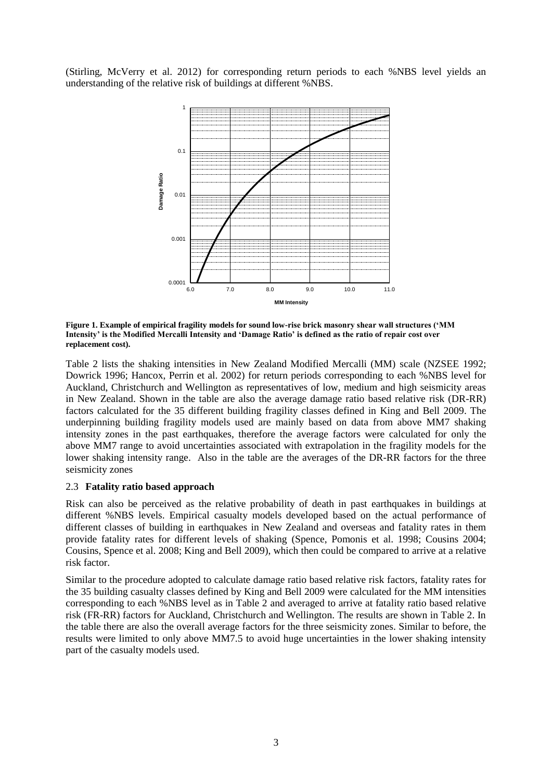[\(Stirling, McVerry et al. 2012\)](#page-5-0) for corresponding return periods to each %NBS level yields an understanding of the relative risk of buildings at different %NBS.



<span id="page-2-0"></span>**Figure 1. Example of empirical fragility models for sound low-rise brick masonry shear wall structures ('MM Intensity' is the Modified Mercalli Intensity and 'Damage Ratio' is defined as the ratio of repair cost over replacement cost).** 

Table 2 lists the shaking intensities in New Zealand Modified Mercalli (MM) scale [\(NZSEE 1992;](#page-4-3) [Dowrick 1996;](#page-4-4) [Hancox, Perrin et al. 2002\)](#page-4-5) for return periods corresponding to each %NBS level for Auckland, Christchurch and Wellington as representatives of low, medium and high seismicity areas in New Zealand. Shown in the table are also the average damage ratio based relative risk (DR-RR) factors calculated for the 35 different building fragility classes defined in [King and Bell 2009.](#page-4-2) The underpinning building fragility models used are mainly based on data from above MM7 shaking intensity zones in the past earthquakes, therefore the average factors were calculated for only the above MM7 range to avoid uncertainties associated with extrapolation in the fragility models for the lower shaking intensity range. Also in the table are the averages of the DR-RR factors for the three seismicity zones

## 2.3 **Fatality ratio based approach**

Risk can also be perceived as the relative probability of death in past earthquakes in buildings at different %NBS levels. Empirical casualty models developed based on the actual performance of different classes of building in earthquakes in New Zealand and overseas and fatality rates in them provide fatality rates for different levels of shaking [\(Spence, Pomonis et al. 1998;](#page-4-6) [Cousins 2004;](#page-4-1) [Cousins, Spence et al. 2008;](#page-4-7) [King and Bell 2009\)](#page-4-2), which then could be compared to arrive at a relative risk factor.

Similar to the procedure adopted to calculate damage ratio based relative risk factors, fatality rates for the 35 building casualty classes defined by [King and Bell 2009](#page-4-2) were calculated for the MM intensities corresponding to each %NBS level as in Table 2 and averaged to arrive at fatality ratio based relative risk (FR-RR) factors for Auckland, Christchurch and Wellington. The results are shown in Table 2. In the table there are also the overall average factors for the three seismicity zones. Similar to before, the results were limited to only above MM7.5 to avoid huge uncertainties in the lower shaking intensity part of the casualty models used.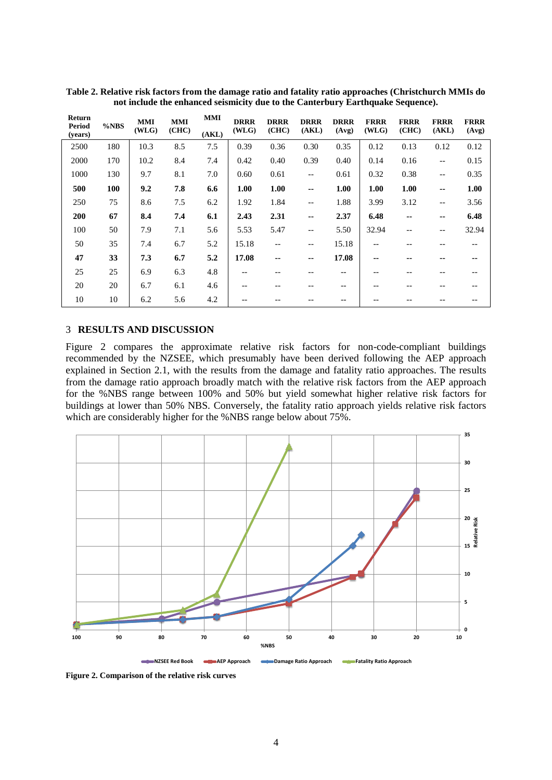| Return<br>Period<br>(years) | %NBS | <b>MMI</b><br>(WLG) | <b>MMI</b><br>(CHC) | <b>MMI</b><br>(AKL) | <b>DRRR</b><br>(WLG) | <b>DRRR</b><br>(CHC) | <b>DRRR</b><br>(AKL) | <b>DRRR</b><br>(Avg) | <b>FRRR</b><br>(WLG) | <b>FRRR</b><br>(CHC) | <b>FRRR</b><br>(AKL)     | <b>FRRR</b><br>(Avg) |
|-----------------------------|------|---------------------|---------------------|---------------------|----------------------|----------------------|----------------------|----------------------|----------------------|----------------------|--------------------------|----------------------|
| 2500                        | 180  | 10.3                | 8.5                 | 7.5                 | 0.39                 | 0.36                 | 0.30                 | 0.35                 | 0.12                 | 0.13                 | 0.12                     | 0.12                 |
| 2000                        | 170  | 10.2                | 8.4                 | 7.4                 | 0.42                 | 0.40                 | 0.39                 | 0.40                 | 0.14                 | 0.16                 | $- -$                    | 0.15                 |
| 1000                        | 130  | 9.7                 | 8.1                 | 7.0                 | 0.60                 | 0.61                 | $-\,-$               | 0.61                 | 0.32                 | 0.38                 | $\qquad \qquad -$        | 0.35                 |
| 500                         | 100  | 9.2                 | 7.8                 | 6.6                 | 1.00                 | 1.00                 | --                   | 1.00                 | 1.00                 | 1.00                 | $\sim$                   | 1.00                 |
| 250                         | 75   | 8.6                 | 7.5                 | 6.2                 | 1.92                 | 1.84                 | $- -$                | 1.88                 | 3.99                 | 3.12                 | $\qquad \qquad -$        | 3.56                 |
| 200                         | 67   | 8.4                 | 7.4                 | 6.1                 | 2.43                 | 2.31                 | --                   | 2.37                 | 6.48                 | $\sim$ $\sim$        | $\overline{\phantom{a}}$ | 6.48                 |
| 100                         | 50   | 7.9                 | 7.1                 | 5.6                 | 5.53                 | 5.47                 | $- -$                | 5.50                 | 32.94                | $- -$                | $\qquad \qquad -$        | 32.94                |
| 50                          | 35   | 7.4                 | 6.7                 | 5.2                 | 15.18                | $- -$                | --                   | 15.18                | $- -$                |                      | --                       | $- -$                |
| 47                          | 33   | 7.3                 | 6.7                 | 5.2                 | 17.08                | --                   | --                   | 17.08                | --                   | --                   | --                       | --                   |
| 25                          | 25   | 6.9                 | 6.3                 | 4.8                 |                      |                      |                      | --                   |                      |                      |                          |                      |
| 20                          | 20   | 6.7                 | 6.1                 | 4.6                 | --                   |                      |                      | --                   |                      | --                   |                          |                      |
| 10                          | 10   | 6.2                 | 5.6                 | 4.2                 |                      |                      |                      |                      |                      |                      |                          |                      |

**Table 2. Relative risk factors from the damage ratio and fatality ratio approaches (Christchurch MMIs do not include the enhanced seismicity due to the Canterbury Earthquake Sequence).** 

## 3 **RESULTS AND DISCUSSION**

Figure 2 compares the approximate relative risk factors for non-code-compliant buildings recommended by the NZSEE, which presumably have been derived following the AEP approach explained in Section 2.1, with the results from the damage and fatality ratio approaches. The results from the damage ratio approach broadly match with the relative risk factors from the AEP approach for the %NBS range between 100% and 50% but yield somewhat higher relative risk factors for buildings at lower than 50% NBS. Conversely, the fatality ratio approach yields relative risk factors which are considerably higher for the %NBS range below about 75%.



**Figure 2. Comparison of the relative risk curves**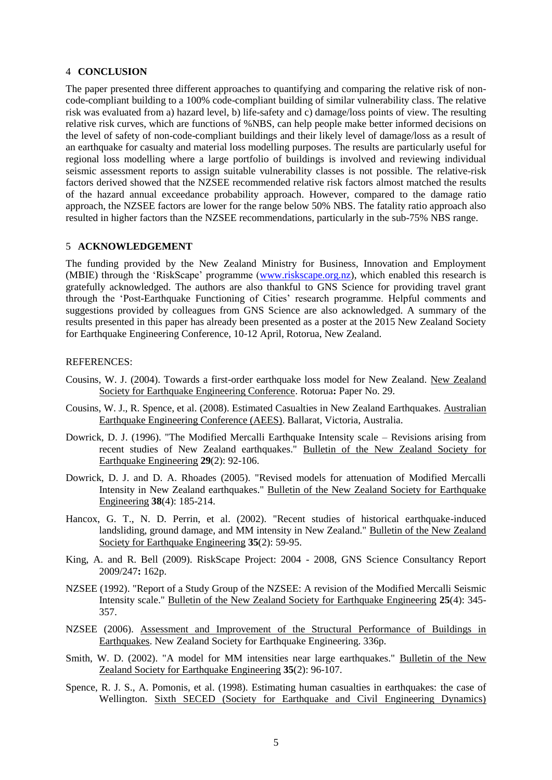## 4 **CONCLUSION**

The paper presented three different approaches to quantifying and comparing the relative risk of noncode-compliant building to a 100% code-compliant building of similar vulnerability class. The relative risk was evaluated from a) hazard level, b) life-safety and c) damage/loss points of view. The resulting relative risk curves, which are functions of %NBS, can help people make better informed decisions on the level of safety of non-code-compliant buildings and their likely level of damage/loss as a result of an earthquake for casualty and material loss modelling purposes. The results are particularly useful for regional loss modelling where a large portfolio of buildings is involved and reviewing individual seismic assessment reports to assign suitable vulnerability classes is not possible. The relative-risk factors derived showed that the NZSEE recommended relative risk factors almost matched the results of the hazard annual exceedance probability approach. However, compared to the damage ratio approach, the NZSEE factors are lower for the range below 50% NBS. The fatality ratio approach also resulted in higher factors than the NZSEE recommendations, particularly in the sub-75% NBS range.

#### 5 **ACKNOWLEDGEMENT**

The funding provided by the New Zealand Ministry for Business, Innovation and Employment (MBIE) through the 'RiskScape' programme [\(www.riskscape.org.nz\)](http://www.riskscape.org.nz/), which enabled this research is gratefully acknowledged. The authors are also thankful to GNS Science for providing travel grant through the 'Post-Earthquake Functioning of Cities' research programme. Helpful comments and suggestions provided by colleagues from GNS Science are also acknowledged. A summary of the results presented in this paper has already been presented as a poster at the 2015 New Zealand Society for Earthquake Engineering Conference, 10-12 April, Rotorua, New Zealand.

#### REFERENCES:

- <span id="page-4-1"></span>Cousins, W. J. (2004). Towards a first-order earthquake loss model for New Zealand. New Zealand Society for Earthquake Engineering Conference. Rotorua**:** Paper No. 29.
- <span id="page-4-7"></span>Cousins, W. J., R. Spence, et al. (2008). Estimated Casualties in New Zealand Earthquakes. Australian Earthquake Engineering Conference (AEES). Ballarat, Victoria, Australia.
- <span id="page-4-4"></span>Dowrick, D. J. (1996). "The Modified Mercalli Earthquake Intensity scale – Revisions arising from recent studies of New Zealand earthquakes." Bulletin of the New Zealand Society for Earthquake Engineering **29**(2): 92-106.
- Dowrick, D. J. and D. A. Rhoades (2005). "Revised models for attenuation of Modified Mercalli Intensity in New Zealand earthquakes." Bulletin of the New Zealand Society for Earthquake Engineering **38**(4): 185-214.
- <span id="page-4-5"></span>Hancox, G. T., N. D. Perrin, et al. (2002). "Recent studies of historical earthquake-induced landsliding, ground damage, and MM intensity in New Zealand." Bulletin of the New Zealand Society for Earthquake Engineering **35**(2): 59-95.
- <span id="page-4-2"></span>King, A. and R. Bell (2009). RiskScape Project: 2004 - 2008, GNS Science Consultancy Report 2009/247**:** 162p.
- <span id="page-4-3"></span>NZSEE (1992). "Report of a Study Group of the NZSEE: A revision of the Modified Mercalli Seismic Intensity scale." Bulletin of the New Zealand Society for Earthquake Engineering **25**(4): 345- 357.
- <span id="page-4-0"></span>NZSEE (2006). Assessment and Improvement of the Structural Performance of Buildings in Earthquakes. New Zealand Society for Earthquake Engineering. 336p.
- Smith, W. D. (2002). "A model for MM intensities near large earthquakes." Bulletin of the New Zealand Society for Earthquake Engineering **35**(2): 96-107.
- <span id="page-4-6"></span>Spence, R. J. S., A. Pomonis, et al. (1998). Estimating human casualties in earthquakes: the case of Wellington. Sixth SECED (Society for Earthquake and Civil Engineering Dynamics)